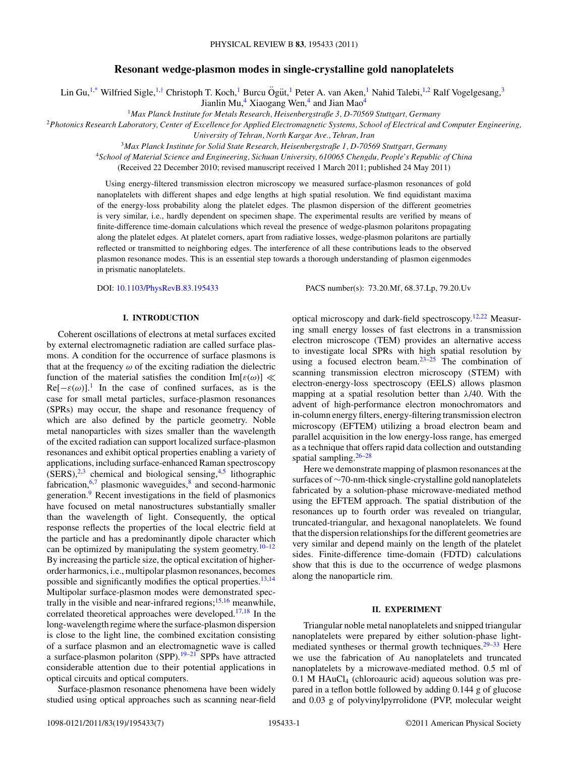# **Resonant wedge-plasmon modes in single-crystalline gold nanoplatelets**

Lin Gu,<sup>1[,\\*](#page-5-0)</sup> Wilfried Sigle,<sup>1,[†](#page-5-0)</sup> Christoph T. Koch,<sup>1</sup> Burcu Ögüt,<sup>1</sup> Peter A. van Aken,<sup>1</sup> Nahid Talebi,<sup>1,2</sup> Ralf Vogelgesang,<sup>3</sup>

Jianlin Mu, $4 \text{ Xiaogang Wen}$ , and Jian Mao $4$ 

<sup>1</sup>*Max Planck Institute for Metals Research, Heisenbergstraße 3, D-70569 Stuttgart, Germany*

<sup>2</sup>*Photonics Research Laboratory, Center of Excellence for Applied Electromagnetic Systems, School of Electrical and Computer Engineering, University of Tehran, North Kargar Ave., Tehran, Iran*

<sup>3</sup>*Max Planck Institute for Solid State Research, Heisenbergstraße 1, D-70569 Stuttgart, Germany*

<sup>4</sup>*School of Material Science and Engineering, Sichuan University, 610065 Chengdu, People's Republic of China*

(Received 22 December 2010; revised manuscript received 1 March 2011; published 24 May 2011)

Using energy-filtered transmission electron microscopy we measured surface-plasmon resonances of gold nanoplatelets with different shapes and edge lengths at high spatial resolution. We find equidistant maxima of the energy-loss probability along the platelet edges. The plasmon dispersion of the different geometries is very similar, i.e., hardly dependent on specimen shape. The experimental results are verified by means of finite-difference time-domain calculations which reveal the presence of wedge-plasmon polaritons propagating along the platelet edges. At platelet corners, apart from radiative losses, wedge-plasmon polaritons are partially reflected or transmitted to neighboring edges. The interference of all these contributions leads to the observed plasmon resonance modes. This is an essential step towards a thorough understanding of plasmon eigenmodes in prismatic nanoplatelets.

DOI: [10.1103/PhysRevB.83.195433](http://dx.doi.org/10.1103/PhysRevB.83.195433) PACS number(s): 73*.*20*.*Mf, 68*.*37*.*Lp, 79*.*20*.*Uv

## **I. INTRODUCTION**

Coherent oscillations of electrons at metal surfaces excited by external electromagnetic radiation are called surface plasmons. A condition for the occurrence of surface plasmons is that at the frequency  $\omega$  of the exciting radiation the dielectric function of the material satisfies the condition  $\text{Im}[\varepsilon(\omega)] \ll$  $Re[-\varepsilon(\omega)]$ .<sup>[1](#page-5-0)</sup> In the case of confined surfaces, as is the case for small metal particles, surface-plasmon resonances (SPRs) may occur, the shape and resonance frequency of which are also defined by the particle geometry. Noble metal nanoparticles with sizes smaller than the wavelength of the excited radiation can support localized surface-plasmon resonances and exhibit optical properties enabling a variety of applications, including surface-enhanced Raman spectroscopy  $(SERS),^{2,3}$  chemical and biological sensing,<sup>4,5</sup> lithographic fabrication, $6,7$  plasmonic waveguides, $8$  and second-harmonic generation[.9](#page-5-0) Recent investigations in the field of plasmonics have focused on metal nanostructures substantially smaller than the wavelength of light. Consequently, the optical response reflects the properties of the local electric field at the particle and has a predominantly dipole character which can be optimized by manipulating the system geometry. $10-12$ By increasing the particle size, the optical excitation of higherorder harmonics, i.e., multipolar plasmon resonances, becomes possible and significantly modifies the optical properties.<sup>13,14</sup> Multipolar surface-plasmon modes were demonstrated spectrally in the visible and near-infrared regions; $15,16$  meanwhile, correlated theoretical approaches were developed[.17,18](#page-5-0) In the long-wavelength regime where the surface-plasmon dispersion is close to the light line, the combined excitation consisting of a surface plasmon and an electromagnetic wave is called a surface-plasmon polariton (SPP). $19-21$  SPPs have attracted considerable attention due to their potential applications in optical circuits and optical computers.

Surface-plasmon resonance phenomena have been widely studied using optical approaches such as scanning near-field optical microscopy and dark-field spectroscopy.[12,](#page-5-0)[22](#page-6-0) Measuring small energy losses of fast electrons in a transmission electron microscope (TEM) provides an alternative access to investigate local SPRs with high spatial resolution by using a focused electron beam. $23-25$  The combination of scanning transmission electron microscopy (STEM) with electron-energy-loss spectroscopy (EELS) allows plasmon mapping at a spatial resolution better than *λ*/40. With the advent of high-performance electron monochromators and in-column energy filters, energy-filtering transmission electron microscopy (EFTEM) utilizing a broad electron beam and parallel acquisition in the low energy-loss range, has emerged as a technique that offers rapid data collection and outstanding spatial sampling.  $26-28$ 

Here we demonstrate mapping of plasmon resonances at the surfaces of ∼70-nm-thick single-crystalline gold nanoplatelets fabricated by a solution-phase microwave-mediated method using the EFTEM approach. The spatial distribution of the resonances up to fourth order was revealed on triangular, truncated-triangular, and hexagonal nanoplatelets. We found that the dispersion relationships for the different geometries are very similar and depend mainly on the length of the platelet sides. Finite-difference time-domain (FDTD) calculations show that this is due to the occurrence of wedge plasmons along the nanoparticle rim.

## **II. EXPERIMENT**

Triangular noble metal nanoplatelets and snipped triangular nanoplatelets were prepared by either solution-phase lightmediated syntheses or thermal growth techniques. $29-33$  Here we use the fabrication of Au nanoplatelets and truncated nanoplatelets by a microwave-mediated method. 0.5 ml of  $0.1$  M HAuCl<sub>4</sub> (chloroauric acid) aqueous solution was prepared in a teflon bottle followed by adding 0.144 g of glucose and 0.03 g of polyvinylpyrrolidone (PVP, molecular weight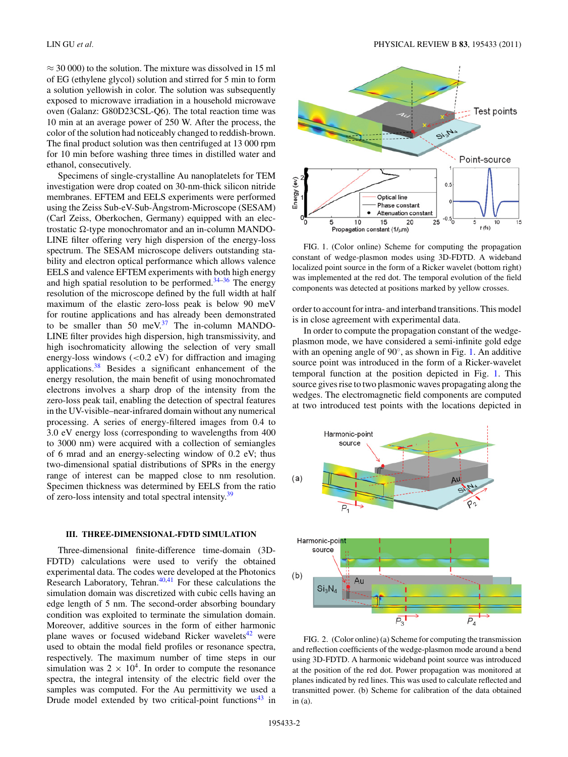<span id="page-1-0"></span> $\approx$  30 000) to the solution. The mixture was dissolved in 15 ml of EG (ethylene glycol) solution and stirred for 5 min to form a solution yellowish in color. The solution was subsequently exposed to microwave irradiation in a household microwave oven (Galanz: G80D23CSL-Q6). The total reaction time was 10 min at an average power of 250 W. After the process, the color of the solution had noticeably changed to reddish-brown. The final product solution was then centrifuged at 13 000 rpm for 10 min before washing three times in distilled water and ethanol, consecutively.

Specimens of single-crystalline Au nanoplatelets for TEM investigation were drop coated on 30-nm-thick silicon nitride membranes. EFTEM and EELS experiments were performed using the Zeiss Sub-eV-Sub-Ångstrom-Microscope (SESAM) (Carl Zeiss, Oberkochen, Germany) equipped with an electrostatic  $\Omega$ -type monochromator and an in-column MANDO-LINE filter offering very high dispersion of the energy-loss spectrum. The SESAM microscope delivers outstanding stability and electron optical performance which allows valence EELS and valence EFTEM experiments with both high energy and high spatial resolution to be performed. $34-36$  The energy resolution of the microscope defined by the full width at half maximum of the elastic zero-loss peak is below 90 meV for routine applications and has already been demonstrated to be smaller than 50 meV. $37$  The in-column MANDO-LINE filter provides high dispersion, high transmissivity, and high isochromaticity allowing the selection of very small energy-loss windows (*<*0.2 eV) for diffraction and imaging applications[.38](#page-6-0) Besides a significant enhancement of the energy resolution, the main benefit of using monochromated electrons involves a sharp drop of the intensity from the zero-loss peak tail, enabling the detection of spectral features in the UV-visible–near-infrared domain without any numerical processing. A series of energy-filtered images from 0.4 to 3.0 eV energy loss (corresponding to wavelengths from 400 to 3000 nm) were acquired with a collection of semiangles of 6 mrad and an energy-selecting window of 0.2 eV; thus two-dimensional spatial distributions of SPRs in the energy range of interest can be mapped close to nm resolution. Specimen thickness was determined by EELS from the ratio of zero-loss intensity and total spectral intensity.<sup>[39](#page-6-0)</sup>

#### **III. THREE-DIMENSIONAL-FDTD SIMULATION**

Three-dimensional finite-difference time-domain (3D-FDTD) calculations were used to verify the obtained experimental data. The codes were developed at the Photonics Research Laboratory, Tehran. $40,41$  For these calculations the simulation domain was discretized with cubic cells having an edge length of 5 nm. The second-order absorbing boundary condition was exploited to terminate the simulation domain. Moreover, additive sources in the form of either harmonic plane waves or focused wideband Ricker wavelets $42$  were used to obtain the modal field profiles or resonance spectra, respectively. The maximum number of time steps in our simulation was  $2 \times 10^4$ . In order to compute the resonance spectra, the integral intensity of the electric field over the samples was computed. For the Au permittivity we used a Drude model extended by two critical-point functions $43$  in



FIG. 1. (Color online) Scheme for computing the propagation constant of wedge-plasmon modes using 3D-FDTD. A wideband localized point source in the form of a Ricker wavelet (bottom right) was implemented at the red dot. The temporal evolution of the field components was detected at positions marked by yellow crosses.

order to account for intra- and interband transitions. This model is in close agreement with experimental data.

In order to compute the propagation constant of the wedgeplasmon mode, we have considered a semi-infinite gold edge with an opening angle of 90◦, as shown in Fig. 1. An additive source point was introduced in the form of a Ricker-wavelet temporal function at the position depicted in Fig. 1. This source gives rise to two plasmonic waves propagating along the wedges. The electromagnetic field components are computed at two introduced test points with the locations depicted in



FIG. 2. (Color online) (a) Scheme for computing the transmission and reflection coefficients of the wedge-plasmon mode around a bend using 3D-FDTD. A harmonic wideband point source was introduced at the position of the red dot. Power propagation was monitored at planes indicated by red lines. This was used to calculate reflected and transmitted power. (b) Scheme for calibration of the data obtained in (a).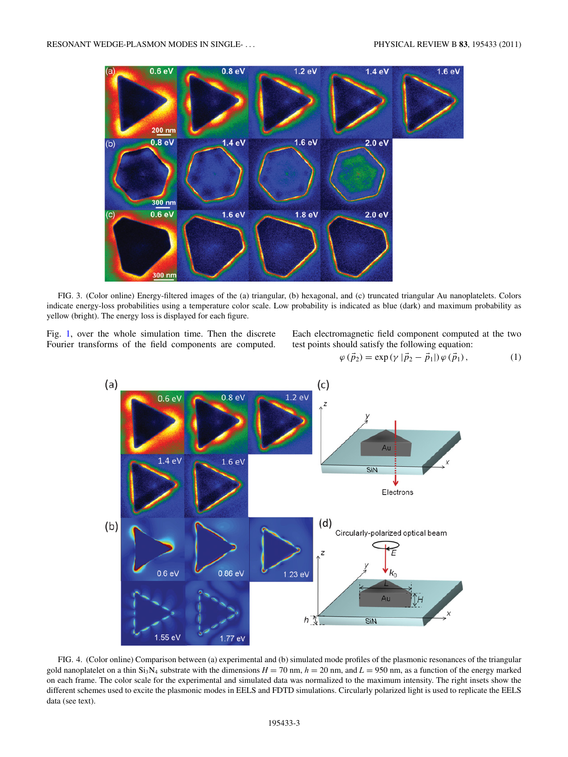<span id="page-2-0"></span>

FIG. 3. (Color online) Energy-filtered images of the (a) triangular, (b) hexagonal, and (c) truncated triangular Au nanoplatelets. Colors indicate energy-loss probabilities using a temperature color scale. Low probability is indicated as blue (dark) and maximum probability as yellow (bright). The energy loss is displayed for each figure.

Fig. [1,](#page-1-0) over the whole simulation time. Then the discrete Fourier transforms of the field components are computed. Each electromagnetic field component computed at the two test points should satisfy the following equation:

$$
\varphi(\vec{p}_2) = \exp(\gamma |\vec{p}_2 - \vec{p}_1|) \varphi(\vec{p}_1), \qquad (1)
$$



FIG. 4. (Color online) Comparison between (a) experimental and (b) simulated mode profiles of the plasmonic resonances of the triangular gold nanoplatelet on a thin Si<sub>3</sub>N<sub>4</sub> substrate with the dimensions  $H = 70$  nm,  $h = 20$  nm, and  $L = 950$  nm, as a function of the energy marked on each frame. The color scale for the experimental and simulated data was normalized to the maximum intensity. The right insets show the different schemes used to excite the plasmonic modes in EELS and FDTD simulations. Circularly polarized light is used to replicate the EELS data (see text).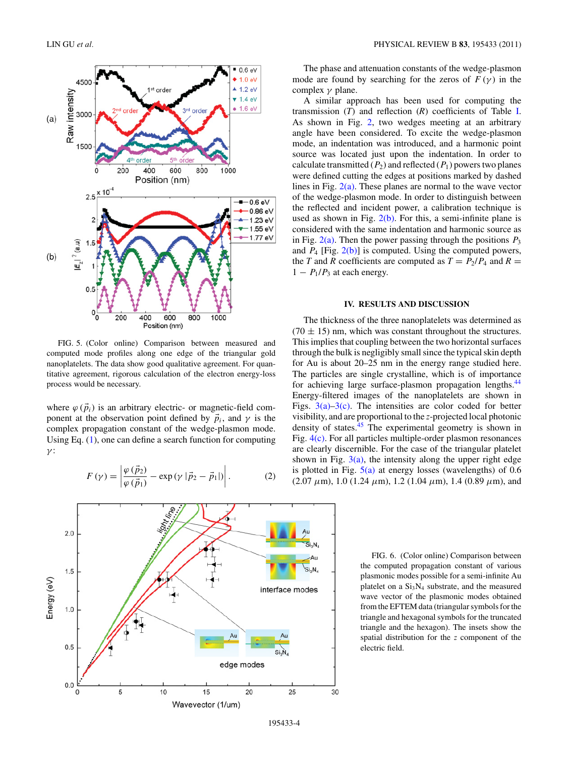<span id="page-3-0"></span>

FIG. 5. (Color online) Comparison between measured and computed mode profiles along one edge of the triangular gold nanoplatelets. The data show good qualitative agreement. For quantitative agreement, rigorous calculation of the electron energy-loss process would be necessary.

where  $\varphi(\vec{p}_i)$  is an arbitrary electric- or magnetic-field component at the observation point defined by  $\vec{p}_i$ , and  $\gamma$  is the complex propagation constant of the wedge-plasmon mode. Using Eq. [\(1\)](#page-2-0), one can define a search function for computing *γ* :

$$
F(\gamma) = \left| \frac{\varphi(\vec{p}_2)}{\varphi(\vec{p}_1)} - \exp(\gamma | \vec{p}_2 - \vec{p}_1|) \right|.
$$
 (2)



The phase and attenuation constants of the wedge-plasmon mode are found by searching for the zeros of  $F(\gamma)$  in the complex *γ* plane.

A similar approach has been used for computing the transmission (*T*) and reflection (*R*) coefficients of Table [I.](#page-4-0) As shown in Fig. [2,](#page-1-0) two wedges meeting at an arbitrary angle have been considered. To excite the wedge-plasmon mode, an indentation was introduced, and a harmonic point source was located just upon the indentation. In order to calculate transmitted  $(P_2)$  and reflected  $(P_1)$  powers two planes were defined cutting the edges at positions marked by dashed lines in Fig.  $2(a)$ . These planes are normal to the wave vector of the wedge-plasmon mode. In order to distinguish between the reflected and incident power, a calibration technique is used as shown in Fig.  $2(b)$ . For this, a semi-infinite plane is considered with the same indentation and harmonic source as in Fig.  $2(a)$ . Then the power passing through the positions  $P_3$ and  $P_4$  [Fig.  $2(b)$ ] is computed. Using the computed powers, the *T* and *R* coefficients are computed as  $T = P_2/P_4$  and  $R =$  $1 - P_1/P_3$  at each energy.

#### **IV. RESULTS AND DISCUSSION**

The thickness of the three nanoplatelets was determined as  $(70 \pm 15)$  nm, which was constant throughout the structures. This implies that coupling between the two horizontal surfaces through the bulk is negligibly small since the typical skin depth for Au is about 20–25 nm in the energy range studied here. The particles are single crystalline, which is of importance for achieving large surface-plasmon propagation lengths.<sup>[44](#page-6-0)</sup> Energy-filtered images of the nanoplatelets are shown in Figs.  $3(a)-3(c)$ . The intensities are color coded for better visibility, and are proportional to the *z*-projected local photonic density of states[.45](#page-6-0) The experimental geometry is shown in Fig. [4\(c\).](#page-2-0) For all particles multiple-order plasmon resonances are clearly discernible. For the case of the triangular platelet shown in Fig.  $3(a)$ , the intensity along the upper right edge is plotted in Fig.  $5(a)$  at energy losses (wavelengths) of 0.6 (2.07 *μ*m), 1.0 (1.24 *μ*m), 1.2 (1.04 *μ*m), 1.4 (0.89 *μ*m), and

> FIG. 6. (Color online) Comparison between the computed propagation constant of various plasmonic modes possible for a semi-infinite Au platelet on a  $Si<sub>3</sub>N<sub>4</sub>$  substrate, and the measured wave vector of the plasmonic modes obtained from the EFTEM data (triangular symbols for the triangle and hexagonal symbols for the truncated triangle and the hexagon). The insets show the spatial distribution for the *z* component of the electric field.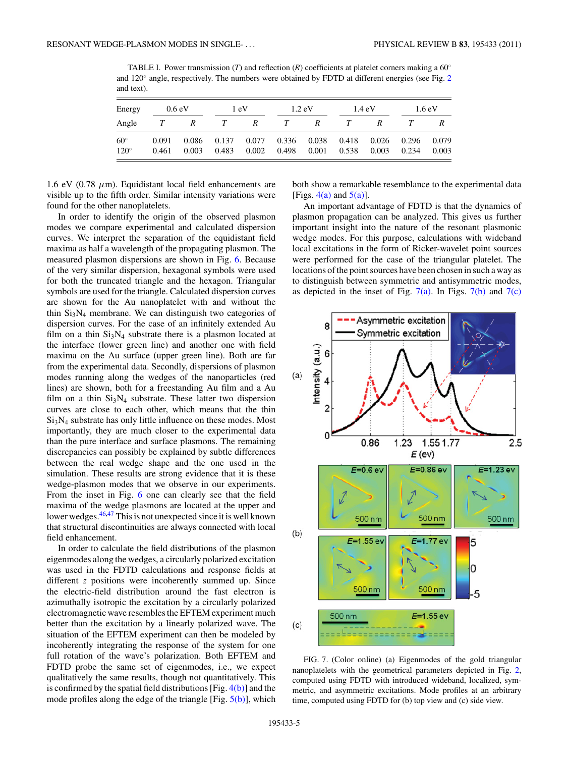<span id="page-4-0"></span>TABLE I. Power transmission (*T*) and reflection (*R*) coefficients at platelet corners making a 60<sup>°</sup> and 1[2](#page-1-0)0<sup>°</sup> angle, respectively. The numbers were obtained by FDTD at different energies (see Fig. 2 and text).

| Energy<br>Angle | 0.6 eV |       | 1 eV  |       | $1.2 \text{ eV}$ |       | $1.4 \text{ eV}$ |       | $1.6 \text{ eV}$ |       |
|-----------------|--------|-------|-------|-------|------------------|-------|------------------|-------|------------------|-------|
|                 | T      | R     | T     | R     | T                | R     |                  | R     |                  |       |
| $60^\circ$      | 0.091  | 0.086 | 0.137 | 0.077 | 0.336            | 0.038 | 0.418            | 0.026 | 0.296            | 0.079 |
| $120^\circ$     | 0.461  | 0.003 | 0.483 | 0.002 | 0.498            | 0.001 | 0.538            | 0.003 | 0.234            | 0.003 |

1.6 eV ( $0.78 \mu$ m). Equidistant local field enhancements are visible up to the fifth order. Similar intensity variations were found for the other nanoplatelets.

In order to identify the origin of the observed plasmon modes we compare experimental and calculated dispersion curves. We interpret the separation of the equidistant field maxima as half a wavelength of the propagating plasmon. The measured plasmon dispersions are shown in Fig. [6.](#page-3-0) Because of the very similar dispersion, hexagonal symbols were used for both the truncated triangle and the hexagon. Triangular symbols are used for the triangle. Calculated dispersion curves are shown for the Au nanoplatelet with and without the thin  $Si<sub>3</sub>N<sub>4</sub>$  membrane. We can distinguish two categories of dispersion curves. For the case of an infinitely extended Au film on a thin  $Si<sub>3</sub>N<sub>4</sub>$  substrate there is a plasmon located at the interface (lower green line) and another one with field maxima on the Au surface (upper green line). Both are far from the experimental data. Secondly, dispersions of plasmon modes running along the wedges of the nanoparticles (red lines) are shown, both for a freestanding Au film and a Au film on a thin  $Si<sub>3</sub>N<sub>4</sub>$  substrate. These latter two dispersion curves are close to each other, which means that the thin  $Si<sub>3</sub>N<sub>4</sub>$  substrate has only little influence on these modes. Most importantly, they are much closer to the experimental data than the pure interface and surface plasmons. The remaining discrepancies can possibly be explained by subtle differences between the real wedge shape and the one used in the simulation. These results are strong evidence that it is these wedge-plasmon modes that we observe in our experiments. From the inset in Fig. [6](#page-3-0) one can clearly see that the field maxima of the wedge plasmons are located at the upper and lower wedges.<sup>[46,47](#page-6-0)</sup> This is not unexpected since it is well known that structural discontinuities are always connected with local field enhancement.

In order to calculate the field distributions of the plasmon eigenmodes along the wedges, a circularly polarized excitation was used in the FDTD calculations and response fields at different *z* positions were incoherently summed up. Since the electric-field distribution around the fast electron is azimuthally isotropic the excitation by a circularly polarized electromagnetic wave resembles the EFTEM experiment much better than the excitation by a linearly polarized wave. The situation of the EFTEM experiment can then be modeled by incoherently integrating the response of the system for one full rotation of the wave's polarization. Both EFTEM and FDTD probe the same set of eigenmodes, i.e., we expect qualitatively the same results, though not quantitatively. This is confirmed by the spatial field distributions  $[Fig. 4(b)]$  $[Fig. 4(b)]$  and the mode profiles along the edge of the triangle [Fig. [5\(b\)\]](#page-3-0), which both show a remarkable resemblance to the experimental data [Figs.  $4(a)$  and  $5(a)$ ].

An important advantage of FDTD is that the dynamics of plasmon propagation can be analyzed. This gives us further important insight into the nature of the resonant plasmonic wedge modes. For this purpose, calculations with wideband local excitations in the form of Ricker-wavelet point sources were performed for the case of the triangular platelet. The locations of the point sources have been chosen in such a way as to distinguish between symmetric and antisymmetric modes, as depicted in the inset of Fig.  $7(a)$ . In Figs.  $7(b)$  and  $7(c)$ 



FIG. 7. (Color online) (a) Eigenmodes of the gold triangular nanoplatelets with the geometrical parameters depicted in Fig. [2,](#page-1-0) computed using FDTD with introduced wideband, localized, symmetric, and asymmetric excitations. Mode profiles at an arbitrary time, computed using FDTD for (b) top view and (c) side view.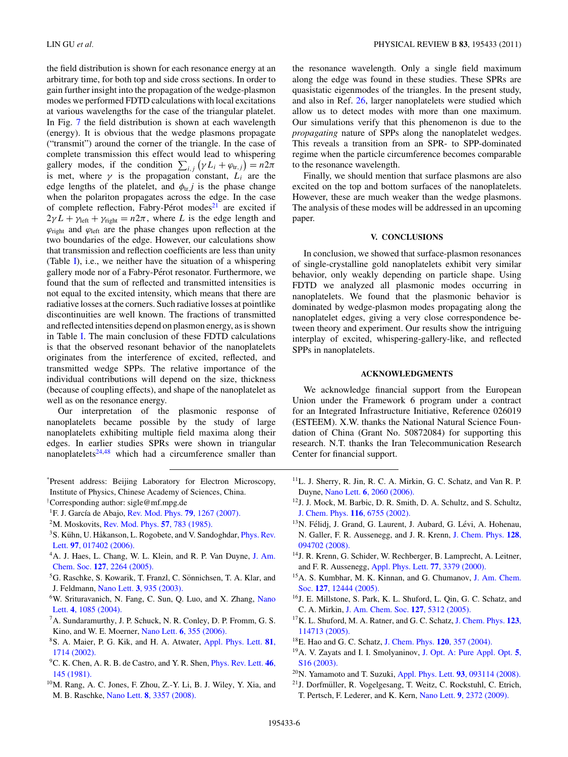<span id="page-5-0"></span>the field distribution is shown for each resonance energy at an arbitrary time, for both top and side cross sections. In order to gain further insight into the propagation of the wedge-plasmon modes we performed FDTD calculations with local excitations at various wavelengths for the case of the triangular platelet. In Fig. [7](#page-4-0) the field distribution is shown at each wavelength (energy). It is obvious that the wedge plasmons propagate ("transmit") around the corner of the triangle. In the case of complete transmission this effect would lead to whispering gallery modes, if the condition  $\sum_{i,j} (\gamma L_i + \varphi_{tr,j}) = n2\pi$ is met, where  $\gamma$  is the propagation constant,  $L_i$  are the edge lengths of the platelet, and  $\phi_{tr,j}$  is the phase change when the polariton propagates across the edge. In the case of complete reflection, Fabry-Pérot modes<sup>21</sup> are excited if  $2\gamma L + \gamma_{\text{left}} + \gamma_{\text{right}} = n2\pi$ , where *L* is the edge length and  $\varphi$ <sub>right</sub> and  $\varphi$ <sub>left</sub> are the phase changes upon reflection at the two boundaries of the edge. However, our calculations show that transmission and reflection coefficients are less than unity (Table [I\)](#page-4-0), i.e., we neither have the situation of a whispering gallery mode nor of a Fabry-Pérot resonator. Furthermore, we found that the sum of reflected and transmitted intensities is not equal to the excited intensity, which means that there are radiative losses at the corners. Such radiative losses at pointlike discontinuities are well known. The fractions of transmitted and reflected intensities depend on plasmon energy, as is shown in Table [I.](#page-4-0) The main conclusion of these FDTD calculations is that the observed resonant behavior of the nanoplatelets originates from the interference of excited, reflected, and transmitted wedge SPPs. The relative importance of the individual contributions will depend on the size, thickness (because of coupling effects), and shape of the nanoplatelet as well as on the resonance energy.

Our interpretation of the plasmonic response of nanoplatelets became possible by the study of large nanoplatelets exhibiting multiple field maxima along their edges. In earlier studies SPRs were shown in triangular nanoplatelets<sup>[24,48](#page-6-0)</sup> which had a circumference smaller than

- \* Present address: Beijing Laboratory for Electron Microscopy, Institute of Physics, Chinese Academy of Sciences, China.
- † Corresponding author: sigle@mf.mpg.de
- <sup>1</sup>F. J. García de Abajo, [Rev. Mod. Phys.](http://dx.doi.org/10.1103/RevModPhys.79.1267) **79**, 1267 (2007).
- 2M. Moskovits, [Rev. Mod. Phys.](http://dx.doi.org/10.1103/RevModPhys.57.783) **57**, 783 (1985).
- <sup>3</sup>S. Kühn, U. Håkanson, L. Rogobete, and V. Sandoghdar, *[Phys. Rev.](http://dx.doi.org/10.1103/PhysRevLett.97.017402)* Lett. **97**[, 017402 \(2006\).](http://dx.doi.org/10.1103/PhysRevLett.97.017402)
- 4A. J. Haes, L. Chang, W. L. Klein, and R. P. Van Duyne, [J. Am.](http://dx.doi.org/10.1021/ja044087q) Chem. Soc. **127**[, 2264 \(2005\).](http://dx.doi.org/10.1021/ja044087q)
- <sup>5</sup>G. Raschke, S. Kowarik, T. Franzl, C. Sönnichsen, T. A. Klar, and J. Feldmann, Nano Lett. **3**[, 935 \(2003\).](http://dx.doi.org/10.1021/nl034223protect $
elax +$)
- 6W. Srituravanich, N. Fang, C. Sun, Q. Luo, and X. Zhang, [Nano](http://dx.doi.org/10.1021/nl049573q) Lett. **4**[, 1085 \(2004\).](http://dx.doi.org/10.1021/nl049573q)
- 7A. Sundaramurthy, J. P. Schuck, N. R. Conley, D. P. Fromm, G. S. Kino, and W. E. Moerner, Nano Lett. **6**[, 355 \(2006\).](http://dx.doi.org/10.1021/nl052322c)
- 8S. A. Maier, P. G. Kik, and H. A. Atwater, [Appl. Phys. Lett.](http://dx.doi.org/10.1063/1.1503870) **81**, [1714 \(2002\).](http://dx.doi.org/10.1063/1.1503870)
- 9C. K. Chen, A. R. B. de Castro, and Y. R. Shen, [Phys. Rev. Lett.](http://dx.doi.org/10.1103/PhysRevLett.46.145) **46**, [145 \(1981\).](http://dx.doi.org/10.1103/PhysRevLett.46.145)
- 10M. Rang, A. C. Jones, F. Zhou, Z.-Y. Li, B. J. Wiley, Y. Xia, and M. B. Raschke, Nano Lett. **8**[, 3357 \(2008\).](http://dx.doi.org/10.1021/nl801808b)

the resonance wavelength. Only a single field maximum along the edge was found in these studies. These SPRs are quasistatic eigenmodes of the triangles. In the present study, and also in Ref. [26,](#page-6-0) larger nanoplatelets were studied which allow us to detect modes with more than one maximum. Our simulations verify that this phenomenon is due to the *propagating* nature of SPPs along the nanoplatelet wedges. This reveals a transition from an SPR- to SPP-dominated regime when the particle circumference becomes comparable to the resonance wavelength.

Finally, we should mention that surface plasmons are also excited on the top and bottom surfaces of the nanoplatelets. However, these are much weaker than the wedge plasmons. The analysis of these modes will be addressed in an upcoming paper.

## **V. CONCLUSIONS**

In conclusion, we showed that surface-plasmon resonances of single-crystalline gold nanoplatelets exhibit very similar behavior, only weakly depending on particle shape. Using FDTD we analyzed all plasmonic modes occurring in nanoplatelets. We found that the plasmonic behavior is dominated by wedge-plasmon modes propagating along the nanoplatelet edges, giving a very close correspondence between theory and experiment. Our results show the intriguing interplay of excited, whispering-gallery-like, and reflected SPPs in nanoplatelets.

### **ACKNOWLEDGMENTS**

We acknowledge financial support from the European Union under the Framework 6 program under a contract for an Integrated Infrastructure Initiative, Reference 026019 (ESTEEM). X.W. thanks the National Natural Science Foundation of China (Grant No. 50872084) for supporting this research. N.T. thanks the Iran Telecommunication Research Center for financial support.

- $11$ L. J. Sherry, R. Jin, R. C. A. Mirkin, G. C. Schatz, and Van R. P. Duyne, Nano Lett. **6**[, 2060 \(2006\).](http://dx.doi.org/10.1021/nl061286u)
- 12J. J. Mock, M. Barbic, D. R. Smith, D. A. Schultz, and S. Schultz, [J. Chem. Phys.](http://dx.doi.org/10.1063/1.1462610) **116**, 6755 (2002).
- <sup>13</sup>N. Félidj, J. Grand, G. Laurent, J. Aubard, G. Lévi, A. Hohenau, N. Galler, F. R. Aussenegg, and J. R. Krenn, [J. Chem. Phys.](http://dx.doi.org/10.1063/1.2839273) **128**, [094702 \(2008\).](http://dx.doi.org/10.1063/1.2839273)
- 14J. R. Krenn, G. Schider, W. Rechberger, B. Lamprecht, A. Leitner, and F. R. Aussenegg, [Appl. Phys. Lett.](http://dx.doi.org/10.1063/1.1327615) **77**, 3379 (2000).
- 15A. S. Kumbhar, M. K. Kinnan, and G. Chumanov, [J. Am. Chem.](http://dx.doi.org/10.1021/ja053242d) Soc. **127**[, 12444 \(2005\).](http://dx.doi.org/10.1021/ja053242d)
- 16J. E. Millstone, S. Park, K. L. Shuford, L. Qin, G. C. Schatz, and C. A. Mirkin, [J. Am. Chem. Soc.](http://dx.doi.org/10.1021/ja043245a) **127**, 5312 (2005).
- 17K. L. Shuford, M. A. Ratner, and G. C. Schatz, [J. Chem. Phys.](http://dx.doi.org/10.1063/1.2046633) **123**, [114713 \(2005\).](http://dx.doi.org/10.1063/1.2046633)
- 18E. Hao and G. C. Schatz, [J. Chem. Phys.](http://dx.doi.org/10.1063/1.1629280) **120**, 357 (2004).
- 19A. V. Zayats and I. I. Smolyaninov, [J. Opt. A: Pure Appl. Opt.](http://dx.doi.org/10.1088/1464-4258/5/4/353) **5**, [S16 \(2003\).](http://dx.doi.org/10.1088/1464-4258/5/4/353)
- 20N. Yamamoto and T. Suzuki, [Appl. Phys. Lett.](http://dx.doi.org/10.1063/1.2978248) **93**, 093114 (2008).
- $21$ J. Dorfmüller, R. Vogelgesang, T. Weitz, C. Rockstuhl, C. Etrich,
	- T. Pertsch, F. Lederer, and K. Kern, Nano Lett. **9**[, 2372 \(2009\).](http://dx.doi.org/10.1021/nl900900r)